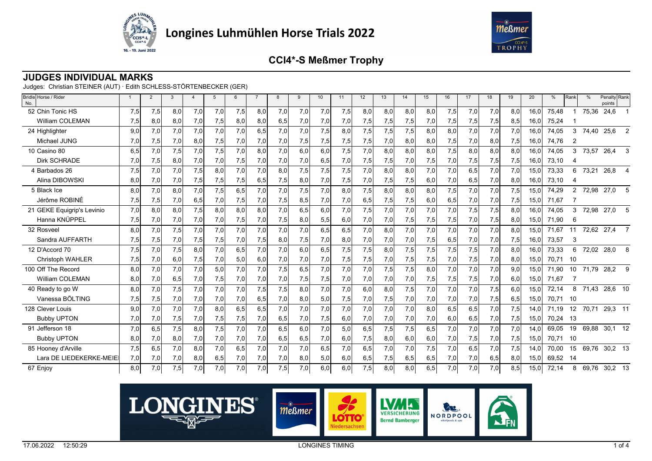



### **JUDGES INDIVIDUAL MARKS**

Judges: Christian STEINER (AUT) · Edith SCHLESS-STÖRTENBECKER (GER)

| Bridle Horse / Rider<br>No. |     | $\overline{2}$ | $\mathcal{R}$ |     | 5   | 6   |     | 8   | 9   | 10 <sup>10</sup> | 11  | 12  | 13  | 14  | 15   | 16  | 17  | 18  | 19  | 20   | $\frac{0}{0}$ | Rank            | $\frac{0}{0}$ | Penalty Rank<br>points |                |
|-----------------------------|-----|----------------|---------------|-----|-----|-----|-----|-----|-----|------------------|-----|-----|-----|-----|------|-----|-----|-----|-----|------|---------------|-----------------|---------------|------------------------|----------------|
| 52 Chin Tonic HS            | 7,5 | 7,5            | 8,0           | 7,0 | 7,0 | 7,5 | 8,0 | 7,0 | 7,0 | 7,0              | 7,5 | 8,0 | 8,0 | 8.0 | 8,0  | 7,5 | 7,0 | 7,0 | 8.0 | 16.0 | 75,48         |                 | 75,36         | 24,6                   |                |
| William COLEMAN             | 7,5 | 8,0            | 8,0           | 7,0 | 7,5 | 8,0 | 8,0 | 6,5 | 7,0 | 7,0              | 7,0 | 7,5 | 7,5 | 7,5 | 7,0  | 7,5 | 7,5 | 7,5 | 8,5 | 16,0 | 75,24         |                 |               |                        |                |
| 24 Highlighter              | 9.0 | 7.0            | 7.0           | 7,0 | 7,0 | 7.0 | 6,5 | 7,0 | 7,0 | 7,5              | 8,0 | 7,5 | 7,5 | 7,5 | 8,0  | 8,0 | 7,0 | 7.0 | 7,0 | 16.0 | 74,05         | 3               | 74,40         | 25,6                   | $\overline{2}$ |
| Michael JUNG                | 7.0 | 7,5            | 7,0           | 8,0 | 7,5 | 7,0 | 7,0 | 7,0 | 7,5 | 7,5              | 7,5 | 7,5 | 7,0 | 8,0 | 8,0  | 7,5 | 7,0 | 8,0 | 7,5 | 16,0 | 74.76         | $\overline{2}$  |               |                        |                |
| 10 Casino 80                | 6,5 | 7,0            | 7,5           | 7,0 | 7,5 | 7,0 | 8,0 | 7,0 | 6,0 | 6,0              | 7,5 | 7,0 | 8,0 | 8,0 | 8,0  | 7,5 | 8,0 | 8,0 | 8,0 | 16,0 | 74,05         | 3               | 73,57         | 26,4                   | $\mathbf{3}$   |
| <b>Dirk SCHRADE</b>         | 7,0 | 7,5            | 8,0           | 7,0 | 7,0 | 7,5 | 7,0 | 7,0 | 7,0 | 6,5              | 7,0 | 7,5 | 7,5 | 7,0 | 7,5  | 7,0 | 7,5 | 7,5 | 7,5 | 16,0 | 73,10         |                 |               |                        |                |
| 4 Barbados 26               | 7,5 | 7,0            | 7,0           | 7,5 | 8,0 | 7,0 | 7,0 | 8,0 | 7,5 | 7,5              | 7,5 | 7,0 | 8,0 | 8,0 | 7,0  | 7,0 | 6,5 | 7,0 | 7,0 | 15,0 | 73,33         | 6               | 73,21         | 26,8 4                 |                |
| Alina DIBOWSKI              | 8,0 | 7,0            | 7,0           | 7,5 | 7,5 | 7,5 | 6,5 | 7,5 | 8,0 | 7,0              | 7,5 | 7,0 | 7,5 | 7,5 | 6,0  | 7,0 | 6,5 | 7,0 | 8,0 | 16,0 | 73,10         |                 |               |                        |                |
| 5 Black Ice                 | 8.0 | 7.0            | 8,0           | 7,0 | 7,5 | 6,5 | 7,0 | 7,0 | 7,5 | 7,0              | 8,0 | 7,5 | 8,0 | 8.0 | 8,0  | 7,5 | 7,0 | 7,0 | 7,5 | 15,0 | 74,29         | $\overline{2}$  | 72,98         | 27,0                   | -5             |
| Jérôme ROBINÉ               | 7,5 | 7,5            | 7,0           | 6,5 | 7,0 | 7,5 | 7,0 | 7,5 | 8,5 | 7,0              | 7,0 | 6,5 | 7,5 | 7,5 | 6,0  | 6,5 | 7,0 | 7,0 | 7,5 | 15,0 | 71,67         |                 |               |                        |                |
| 21 GEKE Equigrip's Levinio  | 7.0 | 8.0            | 8.0           | 7,5 | 8,0 | 8.0 | 8,0 | 7,0 | 6,5 | 6,0              | 7,0 | 7,5 | 7,0 | 7.0 | 7,0  | 7,0 | 7,5 | 7,5 | 8.0 | 16.0 | 74.05         | 3               |               | 72,98 27,0 5           |                |
| Hanna KNÜPPEL               | 7,5 | 7,0            | 7,0           | 7,0 | 7,0 | 7,5 | 7,0 | 7,5 | 8,0 | 5,5              | 6,0 | 7,0 | 7,0 | 7,5 | 7,5  | 7,5 | 7,0 | 7,5 | 8,0 | 15,0 | 71,90         | 6               |               |                        |                |
| 32 Rosveel                  | 8,0 | 7,0            | 7,5           | 7,0 | 7,0 | 7,0 | 7,0 | 7,0 | 7,0 | 6,5              | 6,5 | 7,0 | 8,0 | 7,0 | 7,0  | 7,0 | 7,0 | 7,0 | 8,0 | 15,0 | 71.67         | 11              |               | 72,62 27,4 7           |                |
| Sandra AUFFARTH             | 7,5 | 7,5            | 7,0           | 7,5 | 7,5 | 7,0 | 7,5 | 8,0 | 7,5 | 7,0              | 8,0 | 7,0 | 7,0 | 7,0 | 7,5  | 6,5 | 7,0 | 7,0 | 7,5 | 16,0 | 73,57         | 3               |               |                        |                |
| 12 D'Accord 70              | 7.5 | 7.0            | 7.5           | 8,0 | 7,0 | 6,5 | 7,0 | 7,0 | 6.0 | 6,5              | 7,5 | 7,5 | 8.0 | 7,5 | 7,5  | 7,5 | 7,5 | 7.0 | 8.0 | 16.0 | 73,33         | 6               | 72,02         | 28,0                   | 8              |
| <b>Christoph WAHLER</b>     | 7,5 | 7,0            | 6,0           | 7,5 | 7,0 | 5,0 | 6,0 | 7,0 | 7,0 | 7,0              | 7,5 | 7,5 | 7,0 | 7,5 | 7,5  | 7,0 | 7,5 | 7,0 | 8,0 | 15.0 | 70,71         | 10              |               |                        |                |
| 100 Off The Record          | 8.0 | 7.0            | 7.0           | 7,0 | 5,0 | 7.0 | 7,0 | 7,5 | 6,5 | 7,0              | 7,0 | 7,0 | 7,5 | 7,5 | 8,0  | 7,0 | 7.0 | 7,0 | 9.0 | 15.0 | 71.90         | 10              | 71,79         | 28,2                   | 9              |
| William COLEMAN             | 8,0 | 7,0            | 6,5           | 7,0 | 7,5 | 7,0 | 7,0 | 7,0 | 7,5 | 7,5              | 7,0 | 7,0 | 7,0 | 7,0 | 7,5  | 7,5 | 7,5 | 7,0 | 6,0 | 15,0 | 71,67         | -7              |               |                        |                |
| 40 Ready to go W            | 8.0 | 7.0            | 7,5           | 7,0 | 7,0 | 7.0 | 7,5 | 7,5 | 8.0 | 7,0              | 7,0 | 6.0 | 8.0 | 7,5 | 7,0  | 7,0 | 7.0 | 7,5 | 6.0 | 15.0 | 72,14         | 8               | 71,43         | 28,6 10                |                |
| Vanessa BÖLTING             | 7,5 | 7,5            | 7,0           | 7,0 | 7,0 | 7,0 | 6,5 | 7,0 | 8,0 | 5,0              | 7,5 | 7,0 | 7,5 | 7,0 | 7,0  | 7,0 | 7,0 | 7,5 | 6,5 | 15,0 | 70,71         | 10              |               |                        |                |
| 128 Clever Louis            | 9.0 | 7.0            | 7.0           | 7,0 | 8,0 | 6.5 | 6,5 | 7,0 | 7,0 | 7,0              | 7,0 | 7,0 | 7.0 | 7,0 | 8,0  | 6,5 | 6,5 | 7,0 | 7,5 | 14.0 | 71,19         | 12 <sup>°</sup> |               | 70,71 29,3 11          |                |
| <b>Bubby UPTON</b>          | 7,0 | 7,0            | 7,5           | 7,0 | 7,5 | 7,5 | 7,0 | 6,5 | 7,0 | 7,5              | 6,0 | 7,0 | 7,0 | 7,0 | 7,0  | 6,0 | 6,5 | 7,0 | 7,5 | 15,0 | 70,24         | - 13            |               |                        |                |
| 91 Jefferson 18             | 7,0 | 6,5            | 7,5           | 8,0 | 7,5 | 7,0 | 7,0 | 6,5 | 6,0 | 7,0              | 5,0 | 6,5 | 7,5 | 7,5 | 6,5  | 7,0 | 7,0 | 7,0 | 7,0 | 14,0 | 69,05         | 19              | 69,88         | $30,1$ 12              |                |
| <b>Bubby UPTON</b>          | 8,0 | 7,0            | 8,0           | 7,0 | 7,0 | 7,0 | 7,0 | 6,5 | 6,5 | 7,0              | 6,0 | 7,5 | 8,0 | 6,0 | 6,0  | 7,0 | 7,5 | 7,0 | 7,5 | 15,0 | 70,71         | - 10            |               |                        |                |
| 85 Hooney d'Arville         | 7,5 | 6.5            | 7,0           | 8,0 | 7,0 | 6,5 | 7,0 | 7,0 | 7,0 | 6,5              | 7,0 | 6,5 | 7,0 | 7,0 | 7,5  | 7,0 | 6,5 | 7,0 | 7,5 | 14.0 | 70,00         | 15              | 69,76         | $30,2$ 13              |                |
| Lara DE LIEDEKERKE-MEIE     | 7,0 | 7,0            | 7,0           | 8,0 | 6,5 | 7,0 | 7,0 | 7,0 | 8,0 | 5,0              | 6,0 | 6,5 | 7,5 | 6,5 | 6,5  | 7,0 | 7,0 | 6,5 | 8,0 | 15,0 | 69,52 14      |                 |               |                        |                |
| 67 Enjoy                    | 8,0 | 7,0            | 7,5           | 7,0 | 7,0 | 7,0 | 7,0 | 7,5 | 7,0 | 6,0              | 6,0 | 7,5 | 8,0 | 8.0 | 6, 5 | 7,0 | 7,0 | 7,0 | 8,5 | 15,0 | 72,14         | 8               | 69,76         | $30,2$ 13              |                |

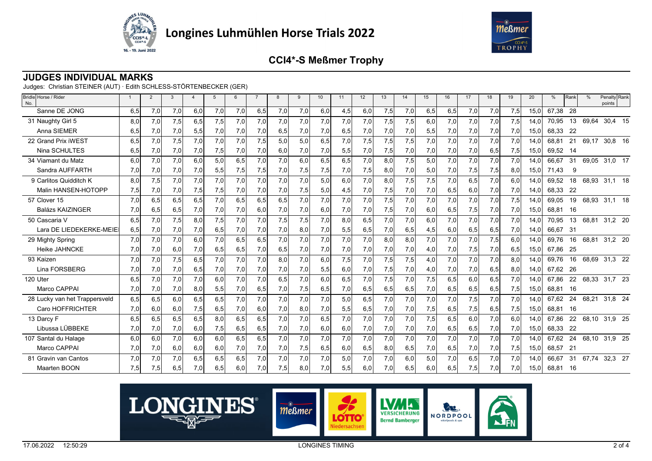



### **JUDGES INDIVIDUAL MARKS**

Judges: Christian STEINER (AUT) · Edith SCHLESS-STÖRTENBECKER (GER)

| Bridle Horse / Rider<br>No.   |     | $\overline{2}$ | 3   | $\overline{4}$ | 5   | 6   |     | 8   | 9   | 10  | 11  | 12  | 13  | 14  | 15  | 16  | 17  | 18  | 19  | 20   | $\frac{0}{0}$ | Rank | $\frac{0}{0}$ | Penalty Rank<br>points |  |
|-------------------------------|-----|----------------|-----|----------------|-----|-----|-----|-----|-----|-----|-----|-----|-----|-----|-----|-----|-----|-----|-----|------|---------------|------|---------------|------------------------|--|
| Sanne DE JONG                 | 6,5 | 7,0            | 7,0 | 6,0            | 7,0 | 7,0 | 6,5 | 7,0 | 7,0 | 6,0 | 4,5 | 6,0 | 7,5 | 7,0 | 6,5 | 6,5 | 7,0 | 7,0 | 7,5 | 15,0 | 67,38         | 28   |               |                        |  |
| 31 Naughty Girl 5             | 8,0 | 7,0            | 7,5 | 6,5            | 7,5 | 7,0 | 7,0 | 7,0 | 7,0 | 7,0 | 7,0 | 7,0 | 7,5 | 7,5 | 6,0 | 7,0 | 7,0 | 7,0 | 7,5 | 14,0 | 70.95         | 13   | 69,64         | 30,4 15                |  |
| Anna SIEMER                   | 6,5 | 7,0            | 7,0 | 5,5            | 7,0 | 7,0 | 7,0 | 6,5 | 7,0 | 7,0 | 6,5 | 7,0 | 7,0 | 7,0 | 5,5 | 7,0 | 7,0 | 7,0 | 7,0 | 15,0 | 68.33         | -22  |               |                        |  |
| 22 Grand Prix iWEST           | 6,5 | 7.0            | 7,5 | 7,0            | 7,0 | 7,0 | 7,5 | 5,0 | 5,0 | 6.5 | 7,0 | 7,5 | 7,5 | 7,5 | 7,0 | 7,0 | 7.0 | 7.0 | 7,0 | 14.0 | 68,81         | 21   | 69,17         | 30,8 16                |  |
| Nina SCHULTES                 | 6,5 | 7,0            | 7,0 | 7,0            | 7,5 | 7,0 | 7,0 | 6,0 | 7,0 | 7,0 | 5,5 | 7,0 | 7,5 | 7,0 | 7,0 | 7,0 | 7,0 | 6,5 | 7,5 | 15,0 | 69,52 14      |      |               |                        |  |
| 34 Viamant du Matz            | 6.0 | 7.0            | 7.0 | 6,0            | 5,0 | 6,5 | 7.0 | 7.0 | 6.0 | 6.5 | 6,5 | 7.0 | 8.0 | 7,5 | 5,0 | 7,0 | 7,0 | 7,0 | 7,0 | 14.0 | 66.67         | 31   |               | 69,05 31,0 17          |  |
| Sandra AUFFARTH               | 7,0 | 7,0            | 7,0 | 7,0            | 5,5 | 7,5 | 7,5 | 7,0 | 7,5 | 7,5 | 7,0 | 7,5 | 8,0 | 7,0 | 5,0 | 7,0 | 7,5 | 7,5 | 8,0 | 15,0 | 71,43         | 9    |               |                        |  |
| 9 Carlitos Quidditch K        | 8,0 | 7,5            | 7.0 | 7,0            | 7,0 | 7,0 | 7,0 | 7.0 | 7,0 | 5,0 | 6,0 | 7.0 | 8.0 | 7,5 | 7,5 | 7,0 | 6,5 | 7,0 | 6.0 | 14.0 | 69,52         | 18   |               | 68,93 31,1 18          |  |
| Malin HANSEN-HOTOPP           | 7,5 | 7,0            | 7,0 | 7,5            | 7,5 | 7,0 | 7,0 | 7,0 | 7,5 | 5,0 | 4,5 | 7,0 | 7,5 | 7,0 | 7,0 | 6,5 | 6,0 | 7,0 | 7,0 | 14,0 | 68,33         | -22  |               |                        |  |
| 57 Clover 15                  | 7,0 | 6,5            | 6,5 | 6,5            | 7,0 | 6,5 | 6,5 | 6,5 | 7,0 | 7,0 | 7,0 | 7,0 | 7.5 | 7,0 | 7,0 | 7,0 | 7,0 | 7.0 | 7,5 | 14.0 | 69,05         | 19   |               | 68,93 31,1 18          |  |
| <b>Balázs KAIZINGER</b>       | 7,0 | 6,5            | 6,5 | 7,0            | 7,0 | 7,0 | 6,0 | 7,0 | 7,0 | 6,0 | 7,0 | 7,0 | 7,5 | 7,0 | 6,0 | 6,5 | 7,5 | 7,0 | 7,0 | 15,0 | 68,81         | 16   |               |                        |  |
| 50 Cascaria V                 | 6,5 | 7,0            | 7,5 | 8,0            | 7,5 | 7,0 | 7,0 | 7,5 | 7,5 | 7,0 | 8,0 | 6,5 | 7.0 | 7,0 | 6,0 | 7,0 | 7,0 | 7,0 | 7,0 | 14,0 | 70,95         | 13   | 68,81         | 31,2 20                |  |
| Lara DE LIEDEKERKE-MEIE       | 6,5 | 7,0            | 7,0 | 7,0            | 6,5 | 7,0 | 7,0 | 7,0 | 8,0 | 7,0 | 5,5 | 6,5 | 7,0 | 6,5 | 4,5 | 6,0 | 6,5 | 6,5 | 7,0 | 14,0 | 66.67         | 31   |               |                        |  |
| 29 Mighty Spring              | 7,0 | 7.0            | 7.0 | 6,0            | 7,0 | 6,5 | 6.5 | 7.0 | 7,0 | 7.0 | 7,0 | 7.0 | 8.0 | 8,0 | 7,0 | 7,0 | 7.0 | 7,5 | 6,0 | 14.0 | 69.76         | 16   | 68.81         | 31,2 20                |  |
| <b>Heike JAHNCKE</b>          | 7,0 | 7,0            | 6,0 | 7,0            | 6,5 | 6,5 | 7,0 | 6,5 | 7,0 | 7,0 | 7,0 | 7,0 | 7,0 | 7,0 | 4,0 | 7,0 | 7,5 | 7,0 | 6,5 | 15,0 | 67,86         | -25  |               |                        |  |
| 93 Kaizen                     | 7,0 | 7.0            | 7,5 | 6,5            | 7,0 | 7,0 | 7,0 | 8,0 | 7,0 | 6,0 | 7,5 | 7,0 | 7,5 | 7,5 | 4,0 | 7,0 | 7,0 | 7,0 | 8.0 | 14.0 | 69.76         | 16   | 68,69         | 31,3 22                |  |
| Lina FORSBERG                 | 7,0 | 7,0            | 7,0 | 6,5            | 7,0 | 7,0 | 7,0 | 7,0 | 7,0 | 5,5 | 6,0 | 7,0 | 7,5 | 7,0 | 4,0 | 7,0 | 7,0 | 6,5 | 8,0 | 14,0 | 67,62         | - 26 |               |                        |  |
| 120 Uter                      | 6,5 | 7,0            | 7,0 | 7,0            | 6,0 | 7,0 | 7,0 | 6,5 | 7,0 | 6,0 | 6,5 | 7,0 | 7,5 | 7,0 | 7,5 | 6,5 | 6,0 | 6,5 | 7,0 | 14,0 | 67.86         | 22   |               | 68,33 31,7 23          |  |
| Marco CAPPAI                  | 7,0 | 7,0            | 7,0 | 8,0            | 5,5 | 7,0 | 6,5 | 7,0 | 7,5 | 6,5 | 7,0 | 6,5 | 6,5 | 6,5 | 7,0 | 6,5 | 6,5 | 6,5 | 7,5 | 15,0 | 68,81         | - 16 |               |                        |  |
| 28 Lucky van het Trappersveld | 6,5 | 6,5            | 6,0 | 6,5            | 6,5 | 7,0 | 7,0 | 7,0 | 7,0 | 7,0 | 5,0 | 6,5 | 7,0 | 7,0 | 7,0 | 7,0 | 7,5 | 7,0 | 7,0 | 14,0 | 67.62         | 24   | 68,21         | 31.8 24                |  |
| Caro HOFFRICHTER              | 7,0 | 6,0            | 6,0 | 7,5            | 6,5 | 7,0 | 6,0 | 7,0 | 8,0 | 7,0 | 5,5 | 6,5 | 7,0 | 7,0 | 7,5 | 6,5 | 7,5 | 6,5 | 7,5 | 15,0 | 68,81         | 16   |               |                        |  |
| 13 Darcy F                    | 6,5 | 6.5            | 6,5 | 6,5            | 8.0 | 6,5 | 6,5 | 7.0 | 7,0 | 6.5 | 7,0 | 7.0 | 7.0 | 7,0 | 7,5 | 6,5 | 6,0 | 7.0 | 6.0 | 14.0 | 67.86         | 22   |               | 68,10 31,9 25          |  |
| Libussa LÜBBEKE               | 7,0 | 7,0            | 7,0 | 6,0            | 7,5 | 6,5 | 6,5 | 7,0 | 7,0 | 6,0 | 6,0 | 7,0 | 7,0 | 7,0 | 7,0 | 6,5 | 6,5 | 7,0 | 7,0 | 15.0 | 68,33         | - 22 |               |                        |  |
| 107 Santal du Halage          | 6,0 | 6.0            | 7.0 | 6,0            | 6,0 | 6,5 | 6,5 | 7,0 | 7,0 | 7,0 | 7,0 | 7,0 | 7.0 | 7,0 | 7,0 | 7,0 | 7,0 | 7,0 | 7,0 | 14.0 | 67,62         | 24   |               | 68,10 31,9 25          |  |
| Marco CAPPAI                  | 7,0 | 7,0            | 6,0 | 6,0            | 6,0 | 7,0 | 7,0 | 7,0 | 7,5 | 6,5 | 6,0 | 6,5 | 8,0 | 6,5 | 7,0 | 6,5 | 7,0 | 7,0 | 7,5 | 15,0 | 68.57         | 21   |               |                        |  |
| 81 Gravin van Cantos          | 7,0 | 7,0            | 7.0 | 6,5            | 6,5 | 6,5 | 7,0 | 7.0 | 7,0 | 7,0 | 5,0 | 7,0 | 7.0 | 6,0 | 5,0 | 7,0 | 6,5 | 7,0 | 7,0 | 14.0 | 66,67         | 31   | 67.74         | 32,3 27                |  |
| Maarten BOON                  | 7,5 | 7,5            | 6,5 | 7,0            | 6,5 | 6,0 | 7,0 | 7,5 | 8.0 | 7,0 | 5,5 | 6,0 | 7,0 | 6,5 | 6,0 | 6,5 | 7,5 | 7,0 | 7.0 | 15.0 | 68.81         | - 16 |               |                        |  |

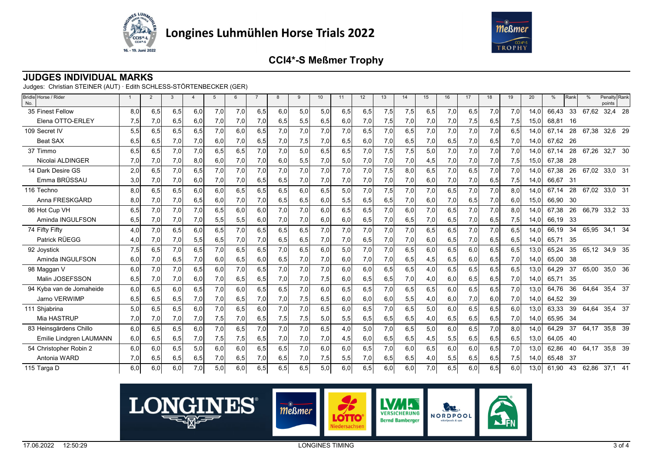



#### **JUDGES INDIVIDUAL MARKS**

Judges: Christian STEINER (AUT) · Edith SCHLESS-STÖRTENBECKER (GER)

| Bridle Horse / Rider<br>No. |     | $\overline{2}$ | 3   | $\boldsymbol{\Delta}$ |     | 6   |     | $\mathsf{R}$ | $\mathbf{q}$ | 10  | 11  | 12  | 13  | 14  | 15  | 16  | 17  | 18  | 19  | 20   | %        | Rank | $\frac{0}{c}$ | Penalty Rank<br>points |  |
|-----------------------------|-----|----------------|-----|-----------------------|-----|-----|-----|--------------|--------------|-----|-----|-----|-----|-----|-----|-----|-----|-----|-----|------|----------|------|---------------|------------------------|--|
| 35 Finest Fellow            | 8,0 | 6,5            | 6.5 | 6,0                   | 7,0 | 7.0 | 6,5 | 6,0          | 5,0          | 5,0 | 6,5 | 6,5 | 7,5 | 7,5 | 6,5 | 7,0 | 6,5 | 7,0 | 7,0 | 14.0 | 66,43    | 33   | 67,62         | 32,4 28                |  |
| Elena OTTO-ERLEY            | 7,5 | 7,0            | 6,5 | 6,0                   | 7,0 | 7,0 | 7,0 | 6,5          | 5,5          | 6,5 | 6,0 | 7,0 | 7,5 | 7,0 | 7,0 | 7,0 | 7,5 | 6,5 | 7,5 | 15,0 | 68,81    | 16   |               |                        |  |
| 109 Secret IV               | 5,5 | 6,5            | 6.5 | 6,5                   | 7,0 | 6.0 | 6,5 | 7,0          | 7,0          | 7,0 | 7,0 | 6,5 | 7,0 | 6,5 | 7,0 | 7.0 | 7,0 | 7,0 | 6.5 | 14,0 | 67.14    | 28   | 67.38         | 32,6 29                |  |
| <b>Beat SAX</b>             | 6,5 | 6,5            | 7,0 | 7,0                   | 6,0 | 7,0 | 6,5 | 7,0          | 7,5          | 7,0 | 6,5 | 6,0 | 7,0 | 6,5 | 7,0 | 6,5 | 7,0 | 6,5 | 7,0 | 14,0 | 67.62 26 |      |               |                        |  |
| 37 Timmo                    | 6,5 | 6,5            | 7,0 | 7,0                   | 6,5 | 6,5 | 7,0 | 7,0          | 5,0          | 6,5 | 6,5 | 7,0 | 7,5 | 7,5 | 5,0 | 7,0 | 7,0 | 7,0 | 7,0 | 14,0 | 67.14    | 28   |               | 67,26 32,7 30          |  |
| Nicolai ALDINGER            | 7,0 | 7,0            | 7,0 | 8,0                   | 6,0 | 7,0 | 7,0 | 6,0          | 5,5          | 7,0 | 5,0 | 7,0 | 7,0 | 7,0 | 4,5 | 7,0 | 7,0 | 7,0 | 7,5 | 15,0 | 67,38    | 28   |               |                        |  |
| 14 Dark Desire GS           | 2,0 | 6,5            | 7,0 | 6,5                   | 7,0 | 7,0 | 7,0 | 7,0          | 7,0          | 7,0 | 7,0 | 7,0 | 7,5 | 8,0 | 6,5 | 7,0 | 6,5 | 7,0 | 7,0 | 14,0 | 67,38    | 26   |               | 67,02 33,0 31          |  |
| Emma BRÜSSAU                | 3,0 | 7,0            | 7,0 | 6,0                   | 7,0 | 7,0 | 6,5 | 6,5          | 7,0          | 7,0 | 7,0 | 7,0 | 7,0 | 7,0 | 6,0 | 7,0 | 7,0 | 6,5 | 7,5 | 14,0 | 66,67    | - 31 |               |                        |  |
| 116 Techno                  | 8,0 | 6,5            | 6.5 | 6,0                   | 6,0 | 6,5 | 6.5 | 6,5          | 6,0          | 6,5 | 5,0 | 7,0 | 7,5 | 7,0 | 7,0 | 6,5 | 7,0 | 7,0 | 8.0 | 14,0 | 67.14    | 28   | 67,02         | 33,0 31                |  |
| Anna FRESKGÅRD              | 8,0 | 7,0            | 7,0 | 6,5                   | 6,0 | 7,0 | 7,0 | 6,5          | 6,5          | 6,0 | 5,5 | 6,5 | 6,5 | 7,0 | 6,0 | 7,0 | 6,5 | 7,0 | 6,0 | 15,0 | 66,90    | 30   |               |                        |  |
| 86 Hot Cup VH               | 6,5 | 7,0            | 7.0 | 7,0                   | 6,5 | 6.0 | 6.0 | 7,0          | 7,0          | 6,0 | 6,5 | 6,5 | 7,0 | 6.0 | 7,0 | 6,5 | 7,0 | 7,0 | 8.0 | 14,0 | 67,38    | 26   |               | 66,79 33,2 33          |  |
| Aminda INGULFSON            | 6,5 | 7,0            | 7,0 | 7,0                   | 5,5 | 5,5 | 6,0 | 7,0          | 7,0          | 6,0 | 6,0 | 6,5 | 7,0 | 6,5 | 7,0 | 6,5 | 7,0 | 6,5 | 7,5 | 14,0 | 66,19    | - 33 |               |                        |  |
| 74 Fifty Fifty              | 4,0 | 7,0            | 6,5 | 6,0                   | 6,5 | 7,0 | 6,5 | 6,5          | 6,5          | 7,0 | 7,0 | 7,0 | 7,0 | 7,0 | 6,5 | 6,5 | 7,0 | 7,0 | 6,5 | 14,0 | 66,19    | 34   | 65,95         | 34,1 34                |  |
| Patrick RÜEGG               | 4,0 | 7,0            | 7,0 | 5,5                   | 6,5 | 7,0 | 7,0 | 6,5          | 6,5          | 7,0 | 7,0 | 6,5 | 7,0 | 7,0 | 6,0 | 6,5 | 7,0 | 6,5 | 6,5 | 14,0 | 65.71    | 35   |               |                        |  |
| 92 Joystick                 | 7,5 | 6,5            | 7.0 | 6,5                   | 7,0 | 6.5 | 6,5 | 7,0          | 6,5          | 6,0 | 5,0 | 7.0 | 7,0 | 6,5 | 6,0 | 6,5 | 6,0 | 6,5 | 6.5 | 13,0 | 65,24    | 35   |               | 65,12 34,9 35          |  |
| Aminda INGULFSON            | 6.0 | 7,0            | 6,5 | 7,0                   | 6,0 | 6,5 | 6,0 | 6,5          | 7,0          | 7,0 | 6,0 | 7,0 | 7,0 | 6,5 | 4,5 | 6,5 | 6,0 | 6,5 | 7,0 | 14,0 | 65,00    | - 38 |               |                        |  |
| 98 Maggan V                 | 6,0 | 7.0            | 7.0 | 6,5                   | 6.0 | 7.0 | 6.5 | 7,0          | 7,0          | 7,0 | 6.0 | 6.0 | 6.5 | 6,5 | 4,0 | 6.5 | 6.5 | 6,5 | 6.5 | 13.0 | 64.29    | 37   | 65,00         | 35,0 36                |  |
| Malin JOSEFSSON             | 6,5 | 7,0            | 7,0 | 6,0                   | 7,0 | 6,5 | 6,5 | 7,0          | 7,0          | 7,5 | 6,0 | 6,5 | 6,5 | 7,0 | 4,0 | 6,0 | 6,5 | 6,5 | 7,0 | 14,0 | 65,71    | 35   |               |                        |  |
| 94 Kyba van de Jomaheide    | 6,0 | 6,5            | 6.0 | 6.5                   | 7,0 | 6.0 | 6.5 | 6.5          | 7.0          | 6,0 | 6.5 | 6.5 | 7,0 | 6.5 | 6,5 | 6.0 | 6.5 | 6,5 | 7.0 | 13.0 | 64.76    | 36   | 64.64         | 35.4 37                |  |
| Jarno VERWIMP               | 6,5 | 6,5            | 6,5 | 7,0                   | 7,0 | 6,5 | 7,0 | 7,0          | 7,5          | 6,5 | 6,0 | 6,0 | 6,0 | 5,5 | 4,0 | 6,0 | 7,0 | 6,0 | 7,0 | 14,0 | 64,52 39 |      |               |                        |  |
| 111 Shjabrina               | 5,0 | 6,5            | 6.5 | 6,0                   | 7,0 | 6,5 | 6.0 | 7,0          | 7,0          | 6,5 | 6,0 | 6,5 | 7,0 | 6,5 | 5,0 | 6.0 | 6,5 | 6,5 | 6.0 | 13,0 | 63,33    | 39   |               | 64,64 35,4 37          |  |
| Mia HASTRUP                 | 7,0 | 7,0            | 7,0 | 7,0                   | 7,5 | 7,0 | 6,5 | 7,5          | 7,5          | 5,0 | 5,5 | 6,5 | 6,5 | 6,5 | 4,0 | 6,5 | 6,5 | 6,5 | 7,0 | 14,0 | 65,95    | 34   |               |                        |  |
| 83 Heinsgårdens Chillo      | 6,0 | 6,5            | 6,5 | 6,0                   | 7,0 | 6,5 | 7,0 | 7,0          | 7,0          | 6,5 | 4,0 | 5,0 | 7,0 | 6,5 | 5,0 | 6,0 | 6,5 | 7,0 | 8.0 | 14,0 | 64,29    | 37   | 64,17         | 35,8 39                |  |
| Emilie Lindgren LAUMANN     | 6,0 | 6,5            | 6,5 | 7,0                   | 7,5 | 7,5 | 6,5 | 7,0          | 7,0          | 7,0 | 4,5 | 6,0 | 6,5 | 6,5 | 4,5 | 5,5 | 6,5 | 6,5 | 6,5 | 13,0 | 64,05    | - 40 |               |                        |  |
| 54 Christopher Robin 2      | 6,0 | 6.0            | 6.5 | 5,0                   | 6,0 | 6.0 | 6,5 | 6,5          | 7,0          | 6,0 | 6,0 | 6,5 | 7,0 | 6,0 | 6,5 | 6.0 | 6,0 | 6,5 | 7,0 | 13,0 | 62,86    | 40   | 64,17         | 35,8 39                |  |
| Antonia WARD                | 7,0 | 6,5            | 6,5 | 6,5                   | 7,0 | 6,5 | 7,0 | 6,5          | 7,0          | 7,5 | 5,5 | 7,0 | 6,5 | 6,5 | 4,0 | 5,5 | 6,5 | 6,5 | 7,5 | 14,0 | 65,48    | - 37 |               |                        |  |
| 115 Targa D                 | 6,0 | 6,0            | 6,0 | 7,0                   | 5,0 | 6,0 | 6,5 | 6,5          | 6,5          | 5,0 | 6,0 | 6,5 | 6,0 | 6,0 | 7,0 | 6,5 | 6,0 | 6,5 | 6.0 | 13,0 | 61,90    | 43   |               | 62,86 37,1 41          |  |